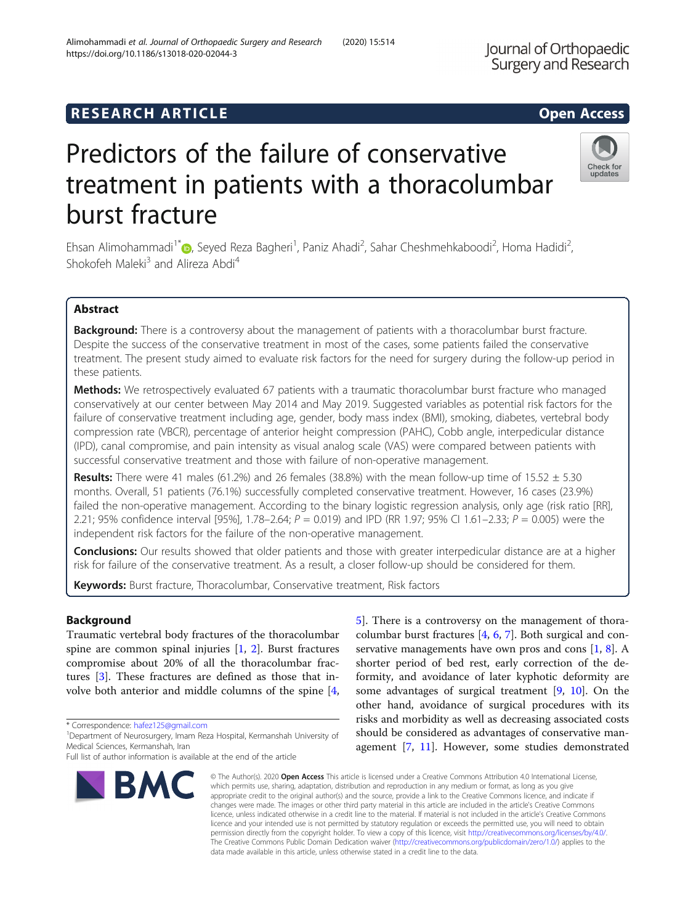# **RESEARCH ARTICLE Example 2014 12:30 The SEAR CH ACCESS**

# Predictors of the failure of conservative treatment in patients with a thoracolumbar burst fracture

Ehsan Alimohammadi<sup>1[\\*](http://orcid.org/0000-0002-6373-6248)</sup> (**b**, Seyed Reza Bagheri<sup>1</sup>, Paniz Ahadi<sup>2</sup>, Sahar Cheshmehkaboodi<sup>2</sup>, Homa Hadidi<sup>2</sup> .<br>, Shokofeh Maleki<sup>3</sup> and Alireza Abdi<sup>4</sup>

# Abstract

Background: There is a controversy about the management of patients with a thoracolumbar burst fracture. Despite the success of the conservative treatment in most of the cases, some patients failed the conservative treatment. The present study aimed to evaluate risk factors for the need for surgery during the follow-up period in these patients.

**Methods:** We retrospectively evaluated 67 patients with a traumatic thoracolumbar burst fracture who managed conservatively at our center between May 2014 and May 2019. Suggested variables as potential risk factors for the failure of conservative treatment including age, gender, body mass index (BMI), smoking, diabetes, vertebral body compression rate (VBCR), percentage of anterior height compression (PAHC), Cobb angle, interpedicular distance (IPD), canal compromise, and pain intensity as visual analog scale (VAS) were compared between patients with successful conservative treatment and those with failure of non-operative management.

**Results:** There were 41 males (61.2%) and 26 females (38.8%) with the mean follow-up time of  $15.52 \pm 5.30$ months. Overall, 51 patients (76.1%) successfully completed conservative treatment. However, 16 cases (23.9%) failed the non-operative management. According to the binary logistic regression analysis, only age (risk ratio [RR], 2.21; 95% confidence interval [95%], 1.78–2.64;  $P = 0.019$ ) and IPD (RR 1.97; 95% CI 1.61–2.33;  $P = 0.005$ ) were the independent risk factors for the failure of the non-operative management.

**Conclusions:** Our results showed that older patients and those with greater interpedicular distance are at a higher risk for failure of the conservative treatment. As a result, a closer follow-up should be considered for them.

Keywords: Burst fracture, Thoracolumbar, Conservative treatment, Risk factors

# Background

Traumatic vertebral body fractures of the thoracolumbar spine are common spinal injuries  $[1, 2]$  $[1, 2]$  $[1, 2]$  $[1, 2]$ . Burst fractures compromise about 20% of all the thoracolumbar fractures [[3\]](#page-5-0). These fractures are defined as those that involve both anterior and middle columns of the spine [[4](#page-5-0),

\* Correspondence: [hafez125@gmail.com](mailto:hafez125@gmail.com) <sup>1</sup>

Full list of author information is available at the end of the article **BMC** 

© The Author(s), 2020 **Open Access** This article is licensed under a Creative Commons Attribution 4.0 International License,

which permits use, sharing, adaptation, distribution and reproduction in any medium or format, as long as you give appropriate credit to the original author(s) and the source, provide a link to the Creative Commons licence, and indicate if changes were made. The images or other third party material in this article are included in the article's Creative Commons licence, unless indicated otherwise in a credit line to the material. If material is not included in the article's Creative Commons licence and your intended use is not permitted by statutory regulation or exceeds the permitted use, you will need to obtain permission directly from the copyright holder. To view a copy of this licence, visit [http://creativecommons.org/licenses/by/4.0/.](http://creativecommons.org/licenses/by/4.0/) The Creative Commons Public Domain Dedication waiver [\(http://creativecommons.org/publicdomain/zero/1.0/](http://creativecommons.org/publicdomain/zero/1.0/)) applies to the data made available in this article, unless otherwise stated in a credit line to the data.

columbar burst fractures [\[4](#page-5-0), [6](#page-5-0), [7](#page-5-0)]. Both surgical and conservative managements have own pros and cons [\[1](#page-5-0), [8](#page-5-0)]. A shorter period of bed rest, early correction of the deformity, and avoidance of later kyphotic deformity are some advantages of surgical treatment [\[9](#page-5-0), [10\]](#page-5-0). On the other hand, avoidance of surgical procedures with its risks and morbidity as well as decreasing associated costs should be considered as advantages of conservative management [\[7](#page-5-0), [11](#page-5-0)]. However, some studies demonstrated

[5\]](#page-5-0). There is a controversy on the management of thora-







<sup>&</sup>lt;sup>1</sup>Department of Neurosurgery, Imam Reza Hospital, Kermanshah University of Medical Sciences, Kermanshah, Iran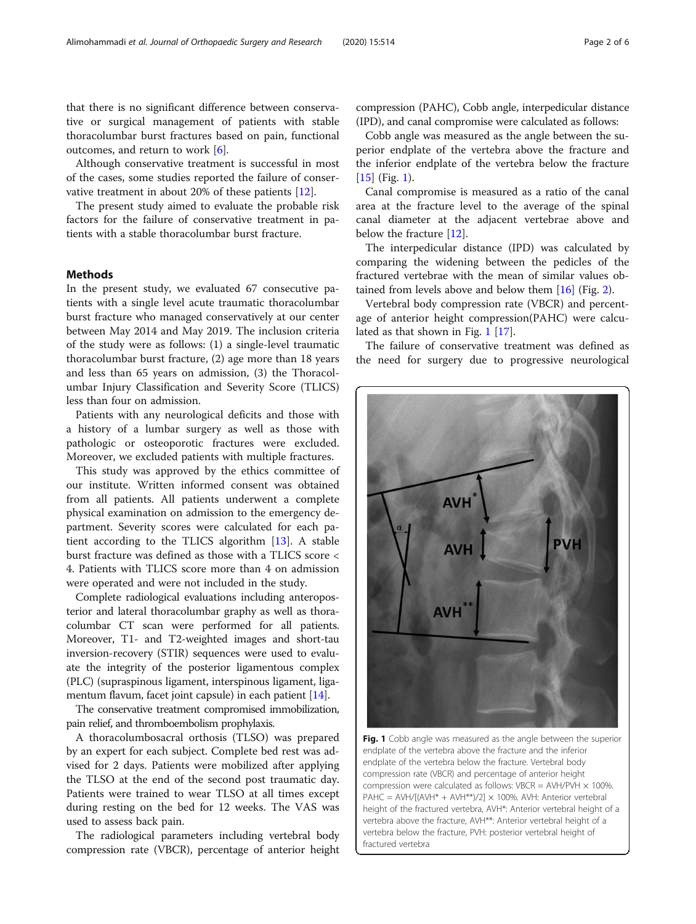that there is no significant difference between conservative or surgical management of patients with stable thoracolumbar burst fractures based on pain, functional outcomes, and return to work  $[6]$  $[6]$ .

Although conservative treatment is successful in most of the cases, some studies reported the failure of conservative treatment in about 20% of these patients [[12\]](#page-5-0).

The present study aimed to evaluate the probable risk factors for the failure of conservative treatment in patients with a stable thoracolumbar burst fracture.

# Methods

In the present study, we evaluated 67 consecutive patients with a single level acute traumatic thoracolumbar burst fracture who managed conservatively at our center between May 2014 and May 2019. The inclusion criteria of the study were as follows: (1) a single-level traumatic thoracolumbar burst fracture, (2) age more than 18 years and less than 65 years on admission, (3) the Thoracolumbar Injury Classification and Severity Score (TLICS) less than four on admission.

Patients with any neurological deficits and those with a history of a lumbar surgery as well as those with pathologic or osteoporotic fractures were excluded. Moreover, we excluded patients with multiple fractures.

This study was approved by the ethics committee of our institute. Written informed consent was obtained from all patients. All patients underwent a complete physical examination on admission to the emergency department. Severity scores were calculated for each patient according to the TLICS algorithm [\[13](#page-5-0)]. A stable burst fracture was defined as those with a TLICS score < 4. Patients with TLICS score more than 4 on admission were operated and were not included in the study.

Complete radiological evaluations including anteroposterior and lateral thoracolumbar graphy as well as thoracolumbar CT scan were performed for all patients. Moreover, T1- and T2-weighted images and short-tau inversion-recovery (STIR) sequences were used to evaluate the integrity of the posterior ligamentous complex (PLC) (supraspinous ligament, interspinous ligament, liga-mentum flavum, facet joint capsule) in each patient [[14](#page-5-0)].

The conservative treatment compromised immobilization, pain relief, and thromboembolism prophylaxis.

A thoracolumbosacral orthosis (TLSO) was prepared by an expert for each subject. Complete bed rest was advised for 2 days. Patients were mobilized after applying the TLSO at the end of the second post traumatic day. Patients were trained to wear TLSO at all times except during resting on the bed for 12 weeks. The VAS was used to assess back pain.

The radiological parameters including vertebral body compression rate (VBCR), percentage of anterior height compression (PAHC), Cobb angle, interpedicular distance (IPD), and canal compromise were calculated as follows:

Cobb angle was measured as the angle between the superior endplate of the vertebra above the fracture and the inferior endplate of the vertebra below the fracture [[15\]](#page-5-0) (Fig. 1).

Canal compromise is measured as a ratio of the canal area at the fracture level to the average of the spinal canal diameter at the adjacent vertebrae above and below the fracture [[12](#page-5-0)].

The interpedicular distance (IPD) was calculated by comparing the widening between the pedicles of the fractured vertebrae with the mean of similar values obtained from levels above and below them [\[16](#page-5-0)] (Fig. [2\)](#page-2-0).

Vertebral body compression rate (VBCR) and percentage of anterior height compression(PAHC) were calculated as that shown in Fig. 1 [\[17](#page-5-0)].

The failure of conservative treatment was defined as the need for surgery due to progressive neurological



Fig. 1 Cobb angle was measured as the angle between the superior endplate of the vertebra above the fracture and the inferior endplate of the vertebra below the fracture. Vertebral body compression rate (VBCR) and percentage of anterior height compression were calculated as follows: VBCR = AVH/PVH  $\times$  100%. PAHC = AVH/[(AVH\* + AVH\*\*)/2]  $\times$  100%. AVH: Anterior vertebral height of the fractured vertebra, AVH\*: Anterior vertebral height of a vertebra above the fracture, AVH\*\*: Anterior vertebral height of a vertebra below the fracture, PVH: posterior vertebral height of fractured vertebra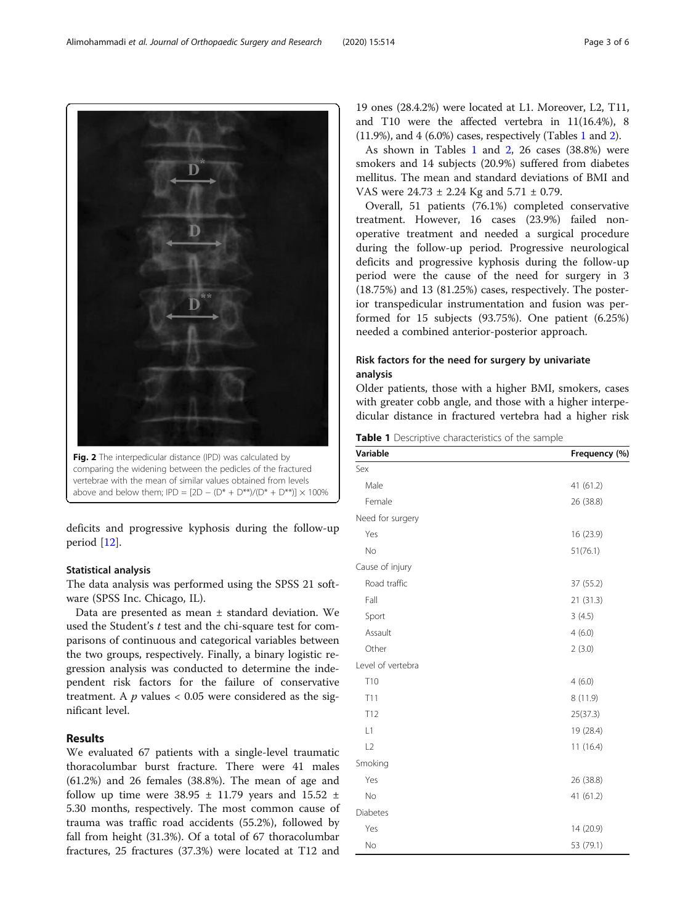deficits and progressive kyphosis during the follow-up period [[12\]](#page-5-0).

# Statistical analysis

The data analysis was performed using the SPSS 21 software (SPSS Inc. Chicago, IL).

Data are presented as mean ± standard deviation. We used the Student's t test and the chi-square test for comparisons of continuous and categorical variables between the two groups, respectively. Finally, a binary logistic regression analysis was conducted to determine the independent risk factors for the failure of conservative treatment. A  $p$  values  $< 0.05$  were considered as the significant level.

# Results

We evaluated 67 patients with a single-level traumatic thoracolumbar burst fracture. There were 41 males (61.2%) and 26 females (38.8%). The mean of age and follow up time were 38.95  $\pm$  11.79 years and 15.52  $\pm$ 5.30 months, respectively. The most common cause of trauma was traffic road accidents (55.2%), followed by fall from height (31.3%). Of a total of 67 thoracolumbar fractures, 25 fractures (37.3%) were located at T12 and

19 ones (28.4.2%) were located at L1. Moreover, L2, T11, and T10 were the affected vertebra in 11(16.4%), 8 (11.9%), and 4 (6.0%) cases, respectively (Tables 1 and [2\)](#page-3-0).

As shown in Tables 1 and [2,](#page-3-0) 26 cases (38.8%) were smokers and 14 subjects (20.9%) suffered from diabetes mellitus. The mean and standard deviations of BMI and VAS were 24.73 ± 2.24 Kg and 5.71 ± 0.79.

Overall, 51 patients (76.1%) completed conservative treatment. However, 16 cases (23.9%) failed nonoperative treatment and needed a surgical procedure during the follow-up period. Progressive neurological deficits and progressive kyphosis during the follow-up period were the cause of the need for surgery in 3 (18.75%) and 13 (81.25%) cases, respectively. The posterior transpedicular instrumentation and fusion was performed for 15 subjects (93.75%). One patient (6.25%) needed a combined anterior-posterior approach.

# Risk factors for the need for surgery by univariate analysis

Older patients, those with a higher BMI, smokers, cases with greater cobb angle, and those with a higher interpedicular distance in fractured vertebra had a higher risk

Table 1 Descriptive characteristics of the sample

| Variable          | Frequency (%) |
|-------------------|---------------|
| Sex               |               |
| Male              | 41 (61.2)     |
| Female            | 26 (38.8)     |
| Need for surgery  |               |
| Yes               | 16 (23.9)     |
| No                | 51(76.1)      |
| Cause of injury   |               |
| Road traffic      | 37 (55.2)     |
| Fall              | 21(31.3)      |
| Sport             | 3(4.5)        |
| Assault           | 4(6.0)        |
| Other             | 2(3.0)        |
| Level of vertebra |               |
| T <sub>10</sub>   | 4(6.0)        |
| T <sub>11</sub>   | 8(11.9)       |
| T12               | 25(37.3)      |
| L1                | 19 (28.4)     |
| L2                | 11(16.4)      |
| Smoking           |               |
| Yes               | 26 (38.8)     |
| No                | 41 (61.2)     |
| <b>Diabetes</b>   |               |
| Yes               | 14 (20.9)     |
| No                | 53 (79.1)     |

<span id="page-2-0"></span>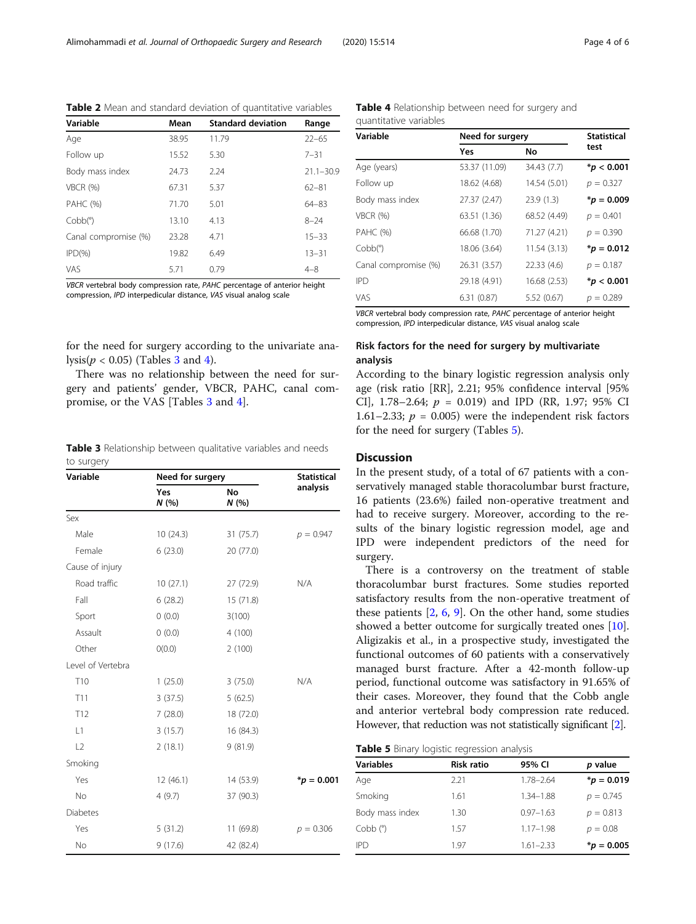| Variable             | Mean  | <b>Standard deviation</b> | Range         |
|----------------------|-------|---------------------------|---------------|
| Age                  | 38.95 | 11.79                     | $22 - 65$     |
| Follow up            | 15.52 | 5.30                      | $7 - 31$      |
| Body mass index      | 24.73 | 2.24                      | $21.1 - 30.9$ |
| VBCR (%)             | 67.31 | 5.37                      | $62 - 81$     |
| <b>PAHC (%)</b>      | 71.70 | 5.01                      | $64 - 83$     |
| Cobb(°)              | 13.10 | 4.13                      | $8 - 24$      |
| Canal compromise (%) | 23.28 | 4.71                      | $15 - 33$     |
| $IPD(\%)$            | 19.82 | 6.49                      | $13 - 31$     |
| VAS                  | 5.71  | 0.79                      | $4 - 8$       |
|                      |       |                           |               |

<span id="page-3-0"></span>Table 2 Mean and standard deviation of quantitative variables

VBCR vertebral body compression rate, PAHC percentage of anterior height compression, IPD interpedicular distance, VAS visual analog scale

for the need for surgery according to the univariate analysis( $p < 0.05$ ) (Tables 3 and 4).

There was no relationship between the need for surgery and patients' gender, VBCR, PAHC, canal compromise, or the VAS [Tables 3 and 4].

Table 3 Relationship between qualitative variables and needs to surgery

| Variable          | Need for surgery |                   | <b>Statistical</b> |
|-------------------|------------------|-------------------|--------------------|
|                   | Yes<br>N(%)      | <b>No</b><br>N(%) | analysis           |
| Sex               |                  |                   |                    |
| Male              | 10(24.3)         | 31 (75.7)         | $p = 0.947$        |
| Female            | 6(23.0)          | 20 (77.0)         |                    |
| Cause of injury   |                  |                   |                    |
| Road traffic      | 10(27.1)         | 27 (72.9)         | N/A                |
| Fall              | 6(28.2)          | 15 (71.8)         |                    |
| Sport             | 0(0.0)           | 3(100)            |                    |
| Assault           | 0(0.0)           | 4(100)            |                    |
| Other             | O(0.0)           | 2(100)            |                    |
| Level of Vertebra |                  |                   |                    |
| T10               | 1(25.0)          | 3(75.0)           | N/A                |
| T11               | 3(37.5)          | 5(62.5)           |                    |
| T <sub>12</sub>   | 7(28.0)          | 18 (72.0)         |                    |
| L1                | 3(15.7)          | 16 (84.3)         |                    |
| L2                | 2(18.1)          | 9(81.9)           |                    |
| Smoking           |                  |                   |                    |
| Yes               | 12(46.1)         | 14 (53.9)         | $*_{p} = 0.001$    |
| No.               | 4(9.7)           | 37 (90.3)         |                    |
| <b>Diabetes</b>   |                  |                   |                    |
| Yes               | 5(31.2)          | 11 (69.8)         | $p = 0.306$        |
| No                | 9(17.6)          | 42 (82.4)         |                    |

Table 4 Relationship between need for surgery and quantitative variables

| Variable             | Need for surgery |              | <b>Statistical</b>   |
|----------------------|------------------|--------------|----------------------|
|                      | Yes              | No           | test                 |
| Age (years)          | 53.37 (11.09)    | 34.43 (7.7)  | $*$ <i>p</i> < 0.001 |
| Follow up            | 18.62 (4.68)     | 14.54 (5.01) | $p = 0.327$          |
| Body mass index      | 27.37 (2.47)     | 23.9(1.3)    | $*_{p} = 0.009$      |
| <b>VBCR (%)</b>      | 63.51 (1.36)     | 68.52 (4.49) | $p = 0.401$          |
| PAHC (%)             | 66.68 (1.70)     | 71.27 (4.21) | $p = 0.390$          |
| Cobb(°)              | 18.06 (3.64)     | 11.54 (3.13) | $*_{p} = 0.012$      |
| Canal compromise (%) | 26.31 (3.57)     | 22.33(4.6)   | $p = 0.187$          |
| IPD                  | 29.18 (4.91)     | 16.68 (2.53) | $*$ <i>p</i> < 0.001 |
| VAS                  | 6.31(0.87)       | 5.52(0.67)   | $p = 0.289$          |
|                      |                  |              |                      |

VBCR vertebral body compression rate, PAHC percentage of anterior height compression, IPD interpedicular distance, VAS visual analog scale

# Risk factors for the need for surgery by multivariate analysis

According to the binary logistic regression analysis only age (risk ratio [RR], 2.21; 95% confidence interval [95% CI], 1.78–2.64;  $p = 0.019$ ) and IPD (RR, 1.97; 95% CI 1.61–2.33;  $p = 0.005$ ) were the independent risk factors for the need for surgery (Tables 5).

# **Discussion**

In the present study, of a total of 67 patients with a conservatively managed stable thoracolumbar burst fracture, 16 patients (23.6%) failed non-operative treatment and had to receive surgery. Moreover, according to the results of the binary logistic regression model, age and IPD were independent predictors of the need for surgery.

There is a controversy on the treatment of stable thoracolumbar burst fractures. Some studies reported satisfactory results from the non-operative treatment of these patients [[2,](#page-5-0) [6](#page-5-0), [9](#page-5-0)]. On the other hand, some studies showed a better outcome for surgically treated ones [\[10](#page-5-0)]. Aligizakis et al., in a prospective study, investigated the functional outcomes of 60 patients with a conservatively managed burst fracture. After a 42-month follow-up period, functional outcome was satisfactory in 91.65% of their cases. Moreover, they found that the Cobb angle and anterior vertebral body compression rate reduced. However, that reduction was not statistically significant [\[2\]](#page-5-0).

Table 5 Binary logistic regression analysis

| <b>Variables</b> | <b>Risk ratio</b> | 95% CI        | p value         |
|------------------|-------------------|---------------|-----------------|
| Age              | 2.21              | $1.78 - 2.64$ | $*_{p} = 0.019$ |
| Smoking          | 1.61              | 1.34-1.88     | $p = 0.745$     |
| Body mass index  | 1.30              | $0.97 - 1.63$ | $p = 0.813$     |
| $Cobb$ $(°)$     | 157               | $1.17 - 1.98$ | $p = 0.08$      |
| <b>IPD</b>       | 197               | $1.61 - 2.33$ | $*_{p}$ = 0.005 |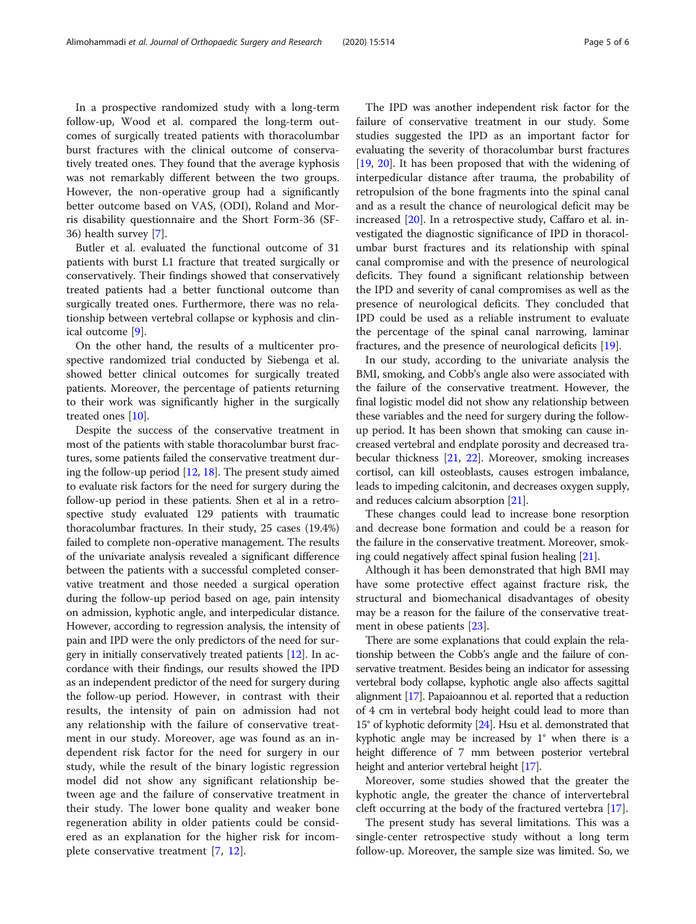In a prospective randomized study with a long-term follow-up, Wood et al. compared the long-term outcomes of surgically treated patients with thoracolumbar burst fractures with the clinical outcome of conservatively treated ones. They found that the average kyphosis was not remarkably different between the two groups. However, the non-operative group had a significantly better outcome based on VAS, (ODI), Roland and Morris disability questionnaire and the Short Form-36 (SF-36) health survey [[7\]](#page-5-0).

Butler et al. evaluated the functional outcome of 31 patients with burst L1 fracture that treated surgically or conservatively. Their findings showed that conservatively treated patients had a better functional outcome than surgically treated ones. Furthermore, there was no relationship between vertebral collapse or kyphosis and clinical outcome [\[9](#page-5-0)].

On the other hand, the results of a multicenter prospective randomized trial conducted by Siebenga et al. showed better clinical outcomes for surgically treated patients. Moreover, the percentage of patients returning to their work was significantly higher in the surgically treated ones [[10\]](#page-5-0).

Despite the success of the conservative treatment in most of the patients with stable thoracolumbar burst fractures, some patients failed the conservative treatment during the follow-up period [\[12](#page-5-0), [18](#page-5-0)]. The present study aimed to evaluate risk factors for the need for surgery during the follow-up period in these patients. Shen et al in a retrospective study evaluated 129 patients with traumatic thoracolumbar fractures. In their study, 25 cases (19.4%) failed to complete non-operative management. The results of the univariate analysis revealed a significant difference between the patients with a successful completed conservative treatment and those needed a surgical operation during the follow-up period based on age, pain intensity on admission, kyphotic angle, and interpedicular distance. However, according to regression analysis, the intensity of pain and IPD were the only predictors of the need for surgery in initially conservatively treated patients [[12](#page-5-0)]. In accordance with their findings, our results showed the IPD as an independent predictor of the need for surgery during the follow-up period. However, in contrast with their results, the intensity of pain on admission had not any relationship with the failure of conservative treatment in our study. Moreover, age was found as an independent risk factor for the need for surgery in our study, while the result of the binary logistic regression model did not show any significant relationship between age and the failure of conservative treatment in their study. The lower bone quality and weaker bone regeneration ability in older patients could be considered as an explanation for the higher risk for incomplete conservative treatment [[7](#page-5-0), [12](#page-5-0)].

The IPD was another independent risk factor for the failure of conservative treatment in our study. Some studies suggested the IPD as an important factor for evaluating the severity of thoracolumbar burst fractures [[19,](#page-5-0) [20](#page-5-0)]. It has been proposed that with the widening of interpedicular distance after trauma, the probability of retropulsion of the bone fragments into the spinal canal and as a result the chance of neurological deficit may be increased [\[20](#page-5-0)]. In a retrospective study, Caffaro et al. investigated the diagnostic significance of IPD in thoracolumbar burst fractures and its relationship with spinal canal compromise and with the presence of neurological deficits. They found a significant relationship between the IPD and severity of canal compromises as well as the presence of neurological deficits. They concluded that IPD could be used as a reliable instrument to evaluate the percentage of the spinal canal narrowing, laminar fractures, and the presence of neurological deficits [\[19\]](#page-5-0).

In our study, according to the univariate analysis the BMI, smoking, and Cobb's angle also were associated with the failure of the conservative treatment. However, the final logistic model did not show any relationship between these variables and the need for surgery during the followup period. It has been shown that smoking can cause increased vertebral and endplate porosity and decreased trabecular thickness [[21](#page-5-0), [22\]](#page-5-0). Moreover, smoking increases cortisol, can kill osteoblasts, causes estrogen imbalance, leads to impeding calcitonin, and decreases oxygen supply, and reduces calcium absorption [[21](#page-5-0)].

These changes could lead to increase bone resorption and decrease bone formation and could be a reason for the failure in the conservative treatment. Moreover, smoking could negatively affect spinal fusion healing [[21](#page-5-0)].

Although it has been demonstrated that high BMI may have some protective effect against fracture risk, the structural and biomechanical disadvantages of obesity may be a reason for the failure of the conservative treatment in obese patients [[23\]](#page-5-0).

There are some explanations that could explain the relationship between the Cobb's angle and the failure of conservative treatment. Besides being an indicator for assessing vertebral body collapse, kyphotic angle also affects sagittal alignment [\[17\]](#page-5-0). Papaioannou et al. reported that a reduction of 4 cm in vertebral body height could lead to more than 15° of kyphotic deformity [[24\]](#page-5-0). Hsu et al. demonstrated that kyphotic angle may be increased by 1° when there is a height difference of 7 mm between posterior vertebral height and anterior vertebral height [\[17\]](#page-5-0).

Moreover, some studies showed that the greater the kyphotic angle, the greater the chance of intervertebral cleft occurring at the body of the fractured vertebra [[17](#page-5-0)].

The present study has several limitations. This was a single-center retrospective study without a long term follow-up. Moreover, the sample size was limited. So, we